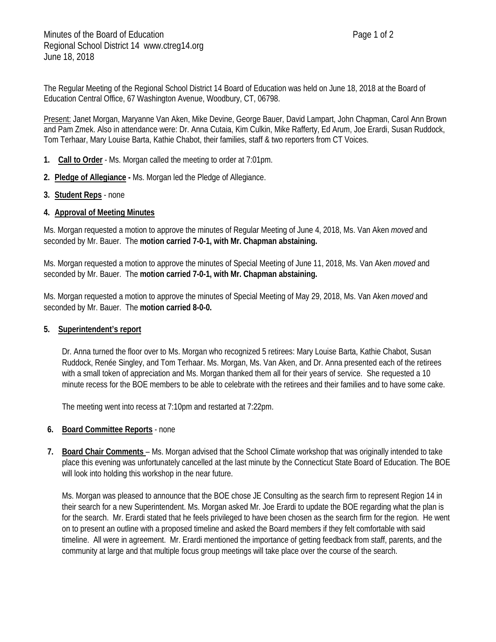The Regular Meeting of the Regional School District 14 Board of Education was held on June 18, 2018 at the Board of Education Central Office, 67 Washington Avenue, Woodbury, CT, 06798.

Present: Janet Morgan, Maryanne Van Aken, Mike Devine, George Bauer, David Lampart, John Chapman, Carol Ann Brown and Pam Zmek. Also in attendance were: Dr. Anna Cutaia, Kim Culkin, Mike Rafferty, Ed Arum, Joe Erardi, Susan Ruddock, Tom Terhaar, Mary Louise Barta, Kathie Chabot, their families, staff & two reporters from CT Voices.

- **1. Call to Order** Ms. Morgan called the meeting to order at 7:01pm.
- **2. Pledge of Allegiance -** Ms. Morgan led the Pledge of Allegiance.
- **3. Student Reps** none

## **4. Approval of Meeting Minutes**

Ms. Morgan requested a motion to approve the minutes of Regular Meeting of June 4, 2018, Ms. Van Aken *moved* and seconded by Mr. Bauer. The **motion carried 7-0-1, with Mr. Chapman abstaining.**

Ms. Morgan requested a motion to approve the minutes of Special Meeting of June 11, 2018, Ms. Van Aken *moved* and seconded by Mr. Bauer. The **motion carried 7-0-1, with Mr. Chapman abstaining.**

Ms. Morgan requested a motion to approve the minutes of Special Meeting of May 29, 2018, Ms. Van Aken *moved* and seconded by Mr. Bauer. The **motion carried 8-0-0.**

## **5. Superintendent's report**

Dr. Anna turned the floor over to Ms. Morgan who recognized 5 retirees: Mary Louise Barta, Kathie Chabot, Susan Ruddock, Renée Singley, and Tom Terhaar. Ms. Morgan, Ms. Van Aken, and Dr. Anna presented each of the retirees with a small token of appreciation and Ms. Morgan thanked them all for their years of service. She requested a 10 minute recess for the BOE members to be able to celebrate with the retirees and their families and to have some cake.

The meeting went into recess at 7:10pm and restarted at 7:22pm.

## **6. Board Committee Reports** - none

**7. Board Chair Comments** – Ms. Morgan advised that the School Climate workshop that was originally intended to take place this evening was unfortunately cancelled at the last minute by the Connecticut State Board of Education. The BOE will look into holding this workshop in the near future.

Ms. Morgan was pleased to announce that the BOE chose JE Consulting as the search firm to represent Region 14 in their search for a new Superintendent. Ms. Morgan asked Mr. Joe Erardi to update the BOE regarding what the plan is for the search. Mr. Erardi stated that he feels privileged to have been chosen as the search firm for the region. He went on to present an outline with a proposed timeline and asked the Board members if they felt comfortable with said timeline. All were in agreement. Mr. Erardi mentioned the importance of getting feedback from staff, parents, and the community at large and that multiple focus group meetings will take place over the course of the search.